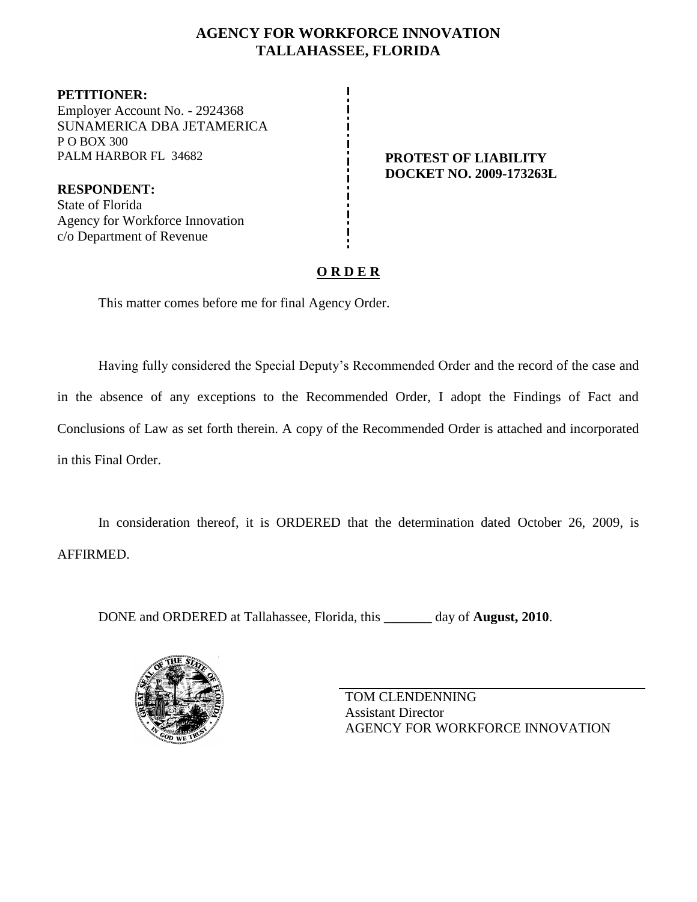## **AGENCY FOR WORKFORCE INNOVATION TALLAHASSEE, FLORIDA**

**PETITIONER:** Employer Account No. - 2924368 SUNAMERICA DBA JETAMERICA P O BOX 300 PALM HARBOR FL 34682 **PROTEST OF LIABILITY** 

**RESPONDENT:** State of Florida Agency for Workforce Innovation c/o Department of Revenue

**DOCKET NO. 2009-173263L**

# **O R D E R**

This matter comes before me for final Agency Order.

Having fully considered the Special Deputy's Recommended Order and the record of the case and in the absence of any exceptions to the Recommended Order, I adopt the Findings of Fact and Conclusions of Law as set forth therein. A copy of the Recommended Order is attached and incorporated in this Final Order.

In consideration thereof, it is ORDERED that the determination dated October 26, 2009, is AFFIRMED.

DONE and ORDERED at Tallahassee, Florida, this **\_\_\_\_\_\_\_** day of **August, 2010**.



TOM CLENDENNING Assistant Director AGENCY FOR WORKFORCE INNOVATION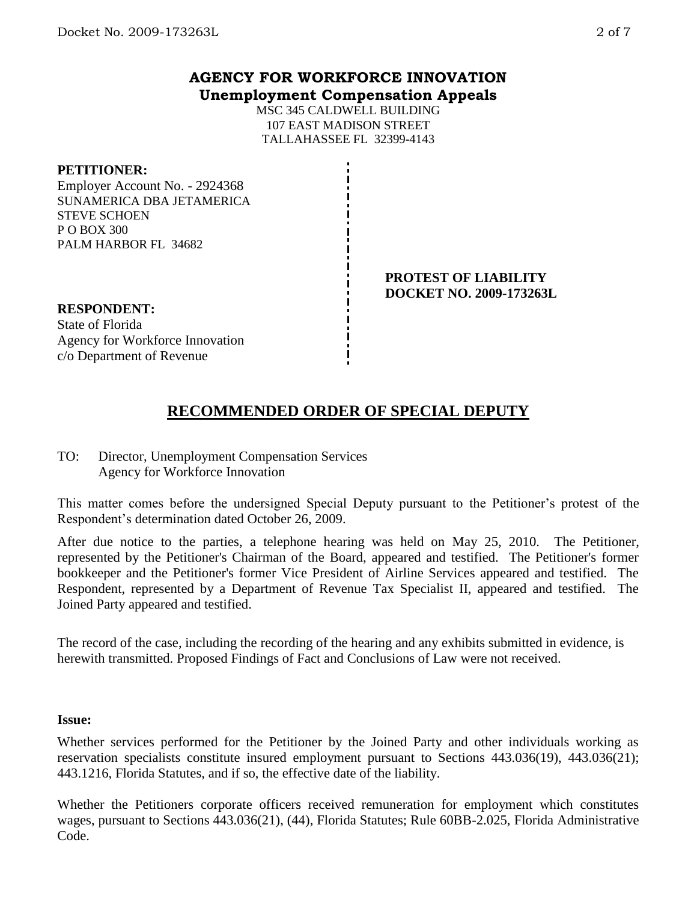MSC 345 CALDWELL BUILDING 107 EAST MADISON STREET TALLAHASSEE FL 32399-4143

### **PETITIONER:**

Employer Account No. - 2924368 SUNAMERICA DBA JETAMERICA STEVE SCHOEN P O BOX 300 PALM HARBOR FL 34682

> **PROTEST OF LIABILITY DOCKET NO. 2009-173263L**

## **RESPONDENT:**

State of Florida Agency for Workforce Innovation c/o Department of Revenue

# **RECOMMENDED ORDER OF SPECIAL DEPUTY**

## TO: Director, Unemployment Compensation Services Agency for Workforce Innovation

This matter comes before the undersigned Special Deputy pursuant to the Petitioner's protest of the Respondent's determination dated October 26, 2009.

After due notice to the parties, a telephone hearing was held on May 25, 2010. The Petitioner, represented by the Petitioner's Chairman of the Board, appeared and testified. The Petitioner's former bookkeeper and the Petitioner's former Vice President of Airline Services appeared and testified. The Respondent, represented by a Department of Revenue Tax Specialist II, appeared and testified. The Joined Party appeared and testified.

The record of the case, including the recording of the hearing and any exhibits submitted in evidence, is herewith transmitted. Proposed Findings of Fact and Conclusions of Law were not received.

#### **Issue:**

Whether services performed for the Petitioner by the Joined Party and other individuals working as reservation specialists constitute insured employment pursuant to Sections 443.036(19), 443.036(21); 443.1216, Florida Statutes, and if so, the effective date of the liability.

Whether the Petitioners corporate officers received remuneration for employment which constitutes wages, pursuant to Sections 443.036(21), (44), Florida Statutes; Rule 60BB-2.025, Florida Administrative Code.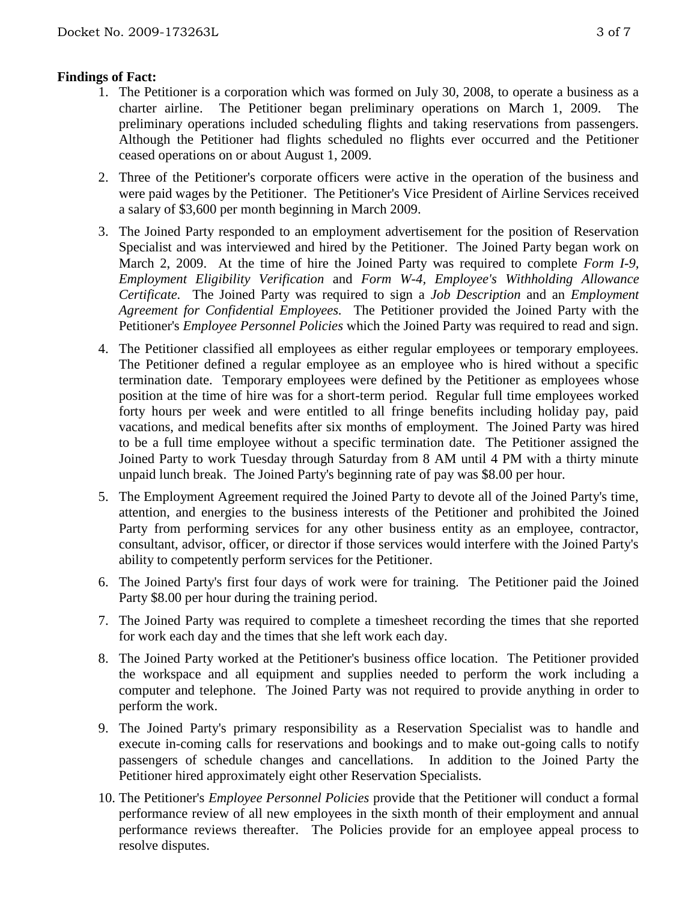### **Findings of Fact:**

- 1. The Petitioner is a corporation which was formed on July 30, 2008, to operate a business as a charter airline. The Petitioner began preliminary operations on March 1, 2009. The preliminary operations included scheduling flights and taking reservations from passengers. Although the Petitioner had flights scheduled no flights ever occurred and the Petitioner ceased operations on or about August 1, 2009.
- 2. Three of the Petitioner's corporate officers were active in the operation of the business and were paid wages by the Petitioner. The Petitioner's Vice President of Airline Services received a salary of \$3,600 per month beginning in March 2009.
- 3. The Joined Party responded to an employment advertisement for the position of Reservation Specialist and was interviewed and hired by the Petitioner. The Joined Party began work on March 2, 2009. At the time of hire the Joined Party was required to complete *Form I-9, Employment Eligibility Verification* and *Form W-4, Employee's Withholding Allowance Certificate.* The Joined Party was required to sign a *Job Description* and an *Employment Agreement for Confidential Employees.* The Petitioner provided the Joined Party with the Petitioner's *Employee Personnel Policies* which the Joined Party was required to read and sign.
- 4. The Petitioner classified all employees as either regular employees or temporary employees. The Petitioner defined a regular employee as an employee who is hired without a specific termination date. Temporary employees were defined by the Petitioner as employees whose position at the time of hire was for a short-term period. Regular full time employees worked forty hours per week and were entitled to all fringe benefits including holiday pay, paid vacations, and medical benefits after six months of employment. The Joined Party was hired to be a full time employee without a specific termination date. The Petitioner assigned the Joined Party to work Tuesday through Saturday from 8 AM until 4 PM with a thirty minute unpaid lunch break. The Joined Party's beginning rate of pay was \$8.00 per hour.
- 5. The Employment Agreement required the Joined Party to devote all of the Joined Party's time, attention, and energies to the business interests of the Petitioner and prohibited the Joined Party from performing services for any other business entity as an employee, contractor, consultant, advisor, officer, or director if those services would interfere with the Joined Party's ability to competently perform services for the Petitioner.
- 6. The Joined Party's first four days of work were for training. The Petitioner paid the Joined Party \$8.00 per hour during the training period.
- 7. The Joined Party was required to complete a timesheet recording the times that she reported for work each day and the times that she left work each day.
- 8. The Joined Party worked at the Petitioner's business office location. The Petitioner provided the workspace and all equipment and supplies needed to perform the work including a computer and telephone. The Joined Party was not required to provide anything in order to perform the work.
- 9. The Joined Party's primary responsibility as a Reservation Specialist was to handle and execute in-coming calls for reservations and bookings and to make out-going calls to notify passengers of schedule changes and cancellations. In addition to the Joined Party the Petitioner hired approximately eight other Reservation Specialists.
- 10. The Petitioner's *Employee Personnel Policies* provide that the Petitioner will conduct a formal performance review of all new employees in the sixth month of their employment and annual performance reviews thereafter. The Policies provide for an employee appeal process to resolve disputes.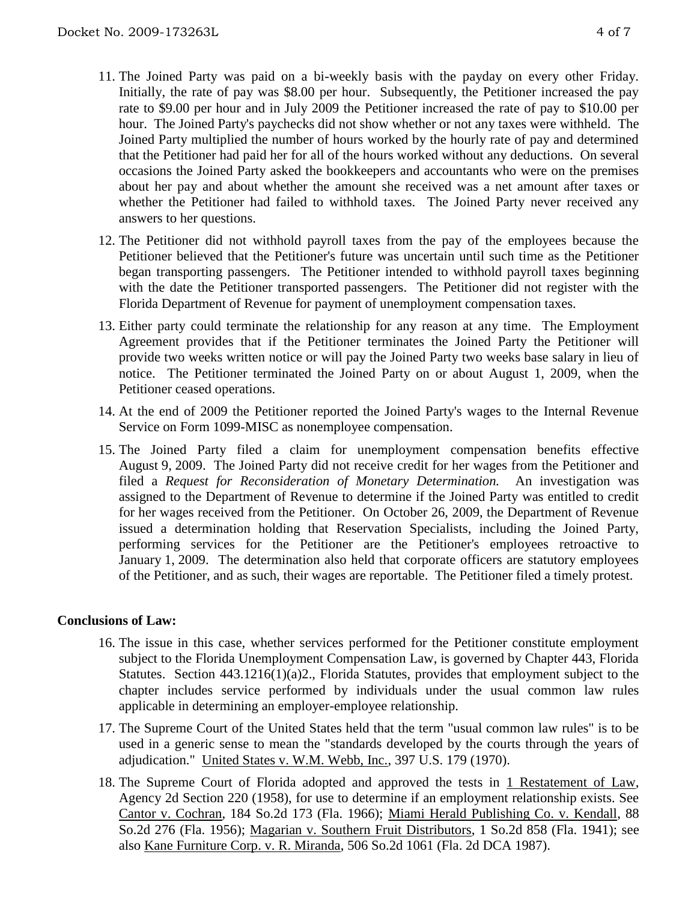- 11. The Joined Party was paid on a bi-weekly basis with the payday on every other Friday. Initially, the rate of pay was \$8.00 per hour. Subsequently, the Petitioner increased the pay rate to \$9.00 per hour and in July 2009 the Petitioner increased the rate of pay to \$10.00 per hour. The Joined Party's paychecks did not show whether or not any taxes were withheld. The Joined Party multiplied the number of hours worked by the hourly rate of pay and determined that the Petitioner had paid her for all of the hours worked without any deductions. On several occasions the Joined Party asked the bookkeepers and accountants who were on the premises about her pay and about whether the amount she received was a net amount after taxes or whether the Petitioner had failed to withhold taxes. The Joined Party never received any answers to her questions.
- 12. The Petitioner did not withhold payroll taxes from the pay of the employees because the Petitioner believed that the Petitioner's future was uncertain until such time as the Petitioner began transporting passengers. The Petitioner intended to withhold payroll taxes beginning with the date the Petitioner transported passengers. The Petitioner did not register with the Florida Department of Revenue for payment of unemployment compensation taxes.
- 13. Either party could terminate the relationship for any reason at any time. The Employment Agreement provides that if the Petitioner terminates the Joined Party the Petitioner will provide two weeks written notice or will pay the Joined Party two weeks base salary in lieu of notice. The Petitioner terminated the Joined Party on or about August 1, 2009, when the Petitioner ceased operations.
- 14. At the end of 2009 the Petitioner reported the Joined Party's wages to the Internal Revenue Service on Form 1099-MISC as nonemployee compensation.
- 15. The Joined Party filed a claim for unemployment compensation benefits effective August 9, 2009. The Joined Party did not receive credit for her wages from the Petitioner and filed a *Request for Reconsideration of Monetary Determination.* An investigation was assigned to the Department of Revenue to determine if the Joined Party was entitled to credit for her wages received from the Petitioner. On October 26, 2009, the Department of Revenue issued a determination holding that Reservation Specialists, including the Joined Party, performing services for the Petitioner are the Petitioner's employees retroactive to January 1, 2009. The determination also held that corporate officers are statutory employees of the Petitioner, and as such, their wages are reportable. The Petitioner filed a timely protest.

### **Conclusions of Law:**

- 16. The issue in this case, whether services performed for the Petitioner constitute employment subject to the Florida Unemployment Compensation Law, is governed by Chapter 443, Florida Statutes. Section 443.1216(1)(a)2., Florida Statutes, provides that employment subject to the chapter includes service performed by individuals under the usual common law rules applicable in determining an employer-employee relationship.
- 17. The Supreme Court of the United States held that the term "usual common law rules" is to be used in a generic sense to mean the "standards developed by the courts through the years of adjudication." United States v. W.M. Webb, Inc., 397 U.S. 179 (1970).
- 18. The Supreme Court of Florida adopted and approved the tests in 1 Restatement of Law, Agency 2d Section 220 (1958), for use to determine if an employment relationship exists. See Cantor v. Cochran, 184 So.2d 173 (Fla. 1966); Miami Herald Publishing Co. v. Kendall, 88 So.2d 276 (Fla. 1956); Magarian v. Southern Fruit Distributors, 1 So.2d 858 (Fla. 1941); see also Kane Furniture Corp. v. R. Miranda, 506 So.2d 1061 (Fla. 2d DCA 1987).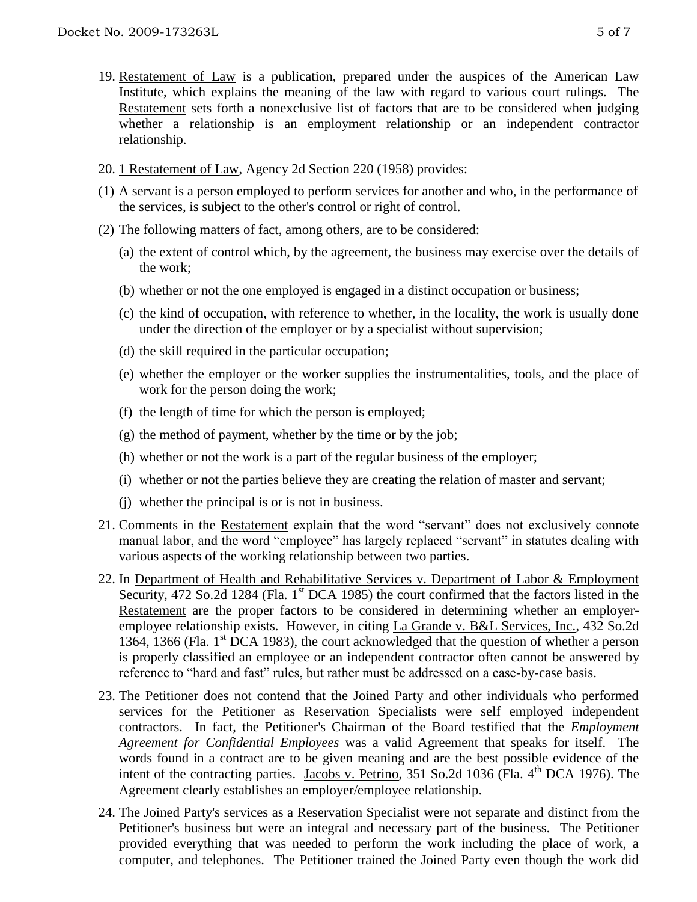- 19. Restatement of Law is a publication, prepared under the auspices of the American Law Institute, which explains the meaning of the law with regard to various court rulings. The Restatement sets forth a nonexclusive list of factors that are to be considered when judging whether a relationship is an employment relationship or an independent contractor relationship.
- 20. 1 Restatement of Law, Agency 2d Section 220 (1958) provides:
- (1) A servant is a person employed to perform services for another and who, in the performance of the services, is subject to the other's control or right of control.
- (2) The following matters of fact, among others, are to be considered:
	- (a) the extent of control which, by the agreement, the business may exercise over the details of the work;
	- (b) whether or not the one employed is engaged in a distinct occupation or business;
	- (c) the kind of occupation, with reference to whether, in the locality, the work is usually done under the direction of the employer or by a specialist without supervision;
	- (d) the skill required in the particular occupation;
	- (e) whether the employer or the worker supplies the instrumentalities, tools, and the place of work for the person doing the work;
	- (f) the length of time for which the person is employed;
	- (g) the method of payment, whether by the time or by the job;
	- (h) whether or not the work is a part of the regular business of the employer;
	- (i) whether or not the parties believe they are creating the relation of master and servant;
	- (j) whether the principal is or is not in business.
- 21. Comments in the Restatement explain that the word "servant" does not exclusively connote manual labor, and the word "employee" has largely replaced "servant" in statutes dealing with various aspects of the working relationship between two parties.
- 22. In Department of Health and Rehabilitative Services v. Department of Labor & Employment Security, 472 So.2d 1284 (Fla. 1<sup>st</sup> DCA 1985) the court confirmed that the factors listed in the Restatement are the proper factors to be considered in determining whether an employeremployee relationship exists. However, in citing La Grande v. B&L Services, Inc., 432 So.2d 1364, 1366 (Fla.  $1<sup>st</sup>$  DCA 1983), the court acknowledged that the question of whether a person is properly classified an employee or an independent contractor often cannot be answered by reference to "hard and fast" rules, but rather must be addressed on a case-by-case basis.
- 23. The Petitioner does not contend that the Joined Party and other individuals who performed services for the Petitioner as Reservation Specialists were self employed independent contractors. In fact, the Petitioner's Chairman of the Board testified that the *Employment Agreement for Confidential Employees* was a valid Agreement that speaks for itself. The words found in a contract are to be given meaning and are the best possible evidence of the intent of the contracting parties. Jacobs v. Petrino,  $351$  So.2d  $1036$  (Fla. 4<sup>th</sup> DCA 1976). The Agreement clearly establishes an employer/employee relationship.
- 24. The Joined Party's services as a Reservation Specialist were not separate and distinct from the Petitioner's business but were an integral and necessary part of the business. The Petitioner provided everything that was needed to perform the work including the place of work, a computer, and telephones. The Petitioner trained the Joined Party even though the work did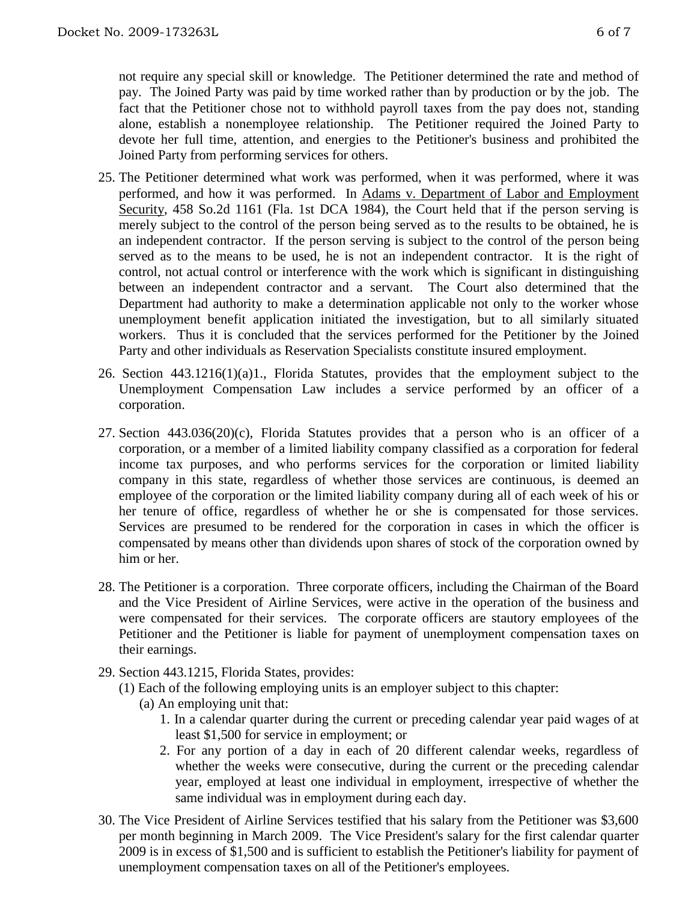not require any special skill or knowledge. The Petitioner determined the rate and method of pay. The Joined Party was paid by time worked rather than by production or by the job. The fact that the Petitioner chose not to withhold payroll taxes from the pay does not, standing alone, establish a nonemployee relationship. The Petitioner required the Joined Party to devote her full time, attention, and energies to the Petitioner's business and prohibited the Joined Party from performing services for others.

- 25. The Petitioner determined what work was performed, when it was performed, where it was performed, and how it was performed. In Adams v. Department of Labor and Employment Security, 458 So.2d 1161 (Fla. 1st DCA 1984), the Court held that if the person serving is merely subject to the control of the person being served as to the results to be obtained, he is an independent contractor. If the person serving is subject to the control of the person being served as to the means to be used, he is not an independent contractor. It is the right of control, not actual control or interference with the work which is significant in distinguishing between an independent contractor and a servant. The Court also determined that the Department had authority to make a determination applicable not only to the worker whose unemployment benefit application initiated the investigation, but to all similarly situated workers. Thus it is concluded that the services performed for the Petitioner by the Joined Party and other individuals as Reservation Specialists constitute insured employment.
- 26. Section 443.1216(1)(a)1., Florida Statutes, provides that the employment subject to the Unemployment Compensation Law includes a service performed by an officer of a corporation.
- 27. Section 443.036(20)(c), Florida Statutes provides that a person who is an officer of a corporation, or a member of a limited liability company classified as a corporation for federal income tax purposes, and who performs services for the corporation or limited liability company in this state, regardless of whether those services are continuous, is deemed an employee of the corporation or the limited liability company during all of each week of his or her tenure of office, regardless of whether he or she is compensated for those services. Services are presumed to be rendered for the corporation in cases in which the officer is compensated by means other than dividends upon shares of stock of the corporation owned by him or her.
- 28. The Petitioner is a corporation. Three corporate officers, including the Chairman of the Board and the Vice President of Airline Services, were active in the operation of the business and were compensated for their services. The corporate officers are stautory employees of the Petitioner and the Petitioner is liable for payment of unemployment compensation taxes on their earnings.
- 29. Section 443.1215, Florida States, provides:
	- (1) Each of the following employing units is an employer subject to this chapter:
		- (a) An employing unit that:
			- 1. In a calendar quarter during the current or preceding calendar year paid wages of at least \$1,500 for service in employment; or
			- 2. For any portion of a day in each of 20 different calendar weeks, regardless of whether the weeks were consecutive, during the current or the preceding calendar year, employed at least one individual in employment, irrespective of whether the same individual was in employment during each day.
- 30. The Vice President of Airline Services testified that his salary from the Petitioner was \$3,600 per month beginning in March 2009. The Vice President's salary for the first calendar quarter 2009 is in excess of \$1,500 and is sufficient to establish the Petitioner's liability for payment of unemployment compensation taxes on all of the Petitioner's employees.